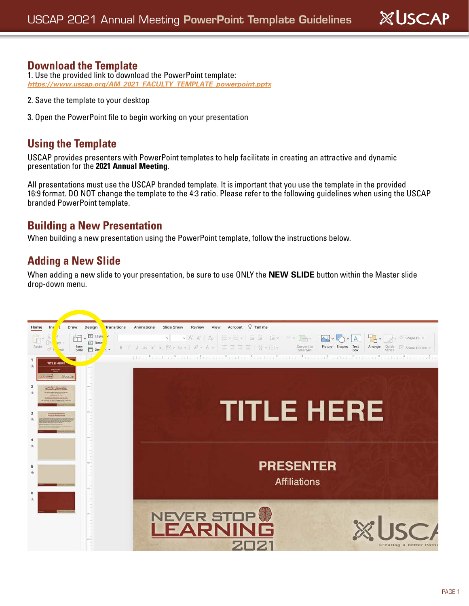# **XUSCAP**

#### **Download the Template**

1. Use the provided link to download the PowerPoint template: *[https://www.uscap.org/AM\\_2021\\_FACULTY\\_TEMPLATE\\_powerpoint.pptx](https://www.uscap.org/wp-content/uploads/2020/09/AM_2021_FACULTY_TEMPLATE_powerpoint.pptx)*

- 2. Save the template to your desktop
- 3. Open the PowerPoint file to begin working on your presentation

#### **Using the Template**

USCAP provides presenters with PowerPoint templates to help facilitate in creating an attractive and dynamic presentation for the **2021 Annual Meeting**.

All presentations must use the USCAP branded template. It is important that you use the template in the provided 16:9 format. DO NOT change the template to the 4:3 ratio. Please refer to the following guidelines when using the USCAP branded PowerPoint template.

#### **Building a New Presentation**

When building a new presentation using the PowerPoint template, follow the instructions below.

### **Adding a New Slide**

When adding a new slide to your presentation, be sure to use ONLY the **NEW SLIDE** button within the Master slide drop-down menu.

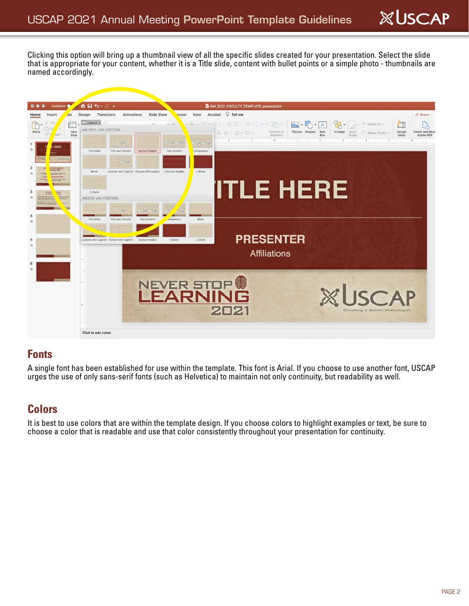Clicking this option will bring up a thumbnail view of all the specific slides created for your presentation. Select the slide that is appropriate for your content, whether it is a Title slide, content with bullet points or a simple photo - thumbnails are named accordingly.



#### **Fonts**

A single font has been established for use within the template. This font is Arial. If you choose to use another font, USCAP urges the use of only sans-serif fonts (such as Helvetica) to maintain not only continuity, but readability as well.

## **Colors**

It is best to use colors that are within the template design. If you choose colors to highlight examples or text, be sure to choose a color that is readable and use that color consistently throughout your presentation for continuity.

**XUSCAP**